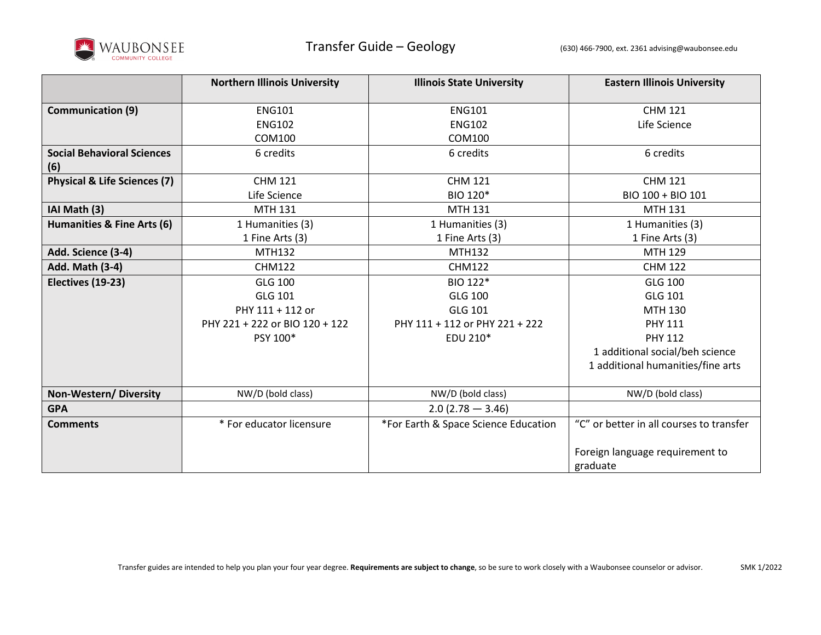

|                                         | <b>Northern Illinois University</b> | <b>Illinois State University</b>     | <b>Eastern Illinois University</b>       |
|-----------------------------------------|-------------------------------------|--------------------------------------|------------------------------------------|
|                                         |                                     |                                      |                                          |
| <b>Communication (9)</b>                | <b>ENG101</b>                       | <b>ENG101</b>                        | <b>CHM 121</b>                           |
|                                         | <b>ENG102</b>                       | <b>ENG102</b>                        | Life Science                             |
|                                         | COM100                              | COM100                               |                                          |
| <b>Social Behavioral Sciences</b>       | 6 credits                           | 6 credits                            | 6 credits                                |
| (6)                                     |                                     |                                      |                                          |
| <b>Physical &amp; Life Sciences (7)</b> | <b>CHM 121</b>                      | <b>CHM 121</b>                       | <b>CHM 121</b>                           |
|                                         | Life Science                        | BIO 120*                             | BIO 100 + BIO 101                        |
| IAI Math (3)                            | MTH 131                             | <b>MTH 131</b>                       | MTH 131                                  |
| Humanities & Fine Arts (6)              | 1 Humanities (3)                    | 1 Humanities (3)                     | 1 Humanities (3)                         |
|                                         | 1 Fine Arts (3)                     | 1 Fine Arts (3)                      | 1 Fine Arts (3)                          |
| Add. Science (3-4)                      | MTH132                              | <b>MTH132</b>                        | <b>MTH 129</b>                           |
| Add. Math (3-4)                         | <b>CHM122</b>                       | <b>CHM122</b>                        | <b>CHM 122</b>                           |
| Electives (19-23)                       | <b>GLG 100</b>                      | BIO 122*                             | <b>GLG 100</b>                           |
|                                         | GLG 101                             | GLG 100                              | GLG 101                                  |
|                                         | PHY 111 + 112 or                    | <b>GLG 101</b>                       | <b>MTH 130</b>                           |
|                                         | PHY 221 + 222 or BIO 120 + 122      | PHY 111 + 112 or PHY 221 + 222       | <b>PHY 111</b>                           |
|                                         | PSY 100*                            | EDU 210*                             | <b>PHY 112</b>                           |
|                                         |                                     |                                      | 1 additional social/beh science          |
|                                         |                                     |                                      | 1 additional humanities/fine arts        |
|                                         |                                     |                                      |                                          |
| <b>Non-Western/ Diversity</b>           | NW/D (bold class)                   | NW/D (bold class)                    | NW/D (bold class)                        |
| <b>GPA</b>                              |                                     | $2.0(2.78 - 3.46)$                   |                                          |
| <b>Comments</b>                         | * For educator licensure            | *For Earth & Space Science Education | "C" or better in all courses to transfer |
|                                         |                                     |                                      |                                          |
|                                         |                                     |                                      | Foreign language requirement to          |
|                                         |                                     |                                      | graduate                                 |